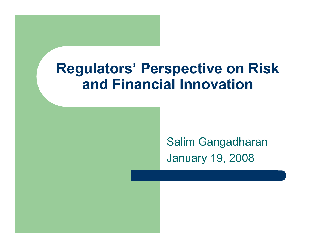#### **Regulators' Perspective on Risk and Financial Innovation**

Salim Gangadharan January 19, 2008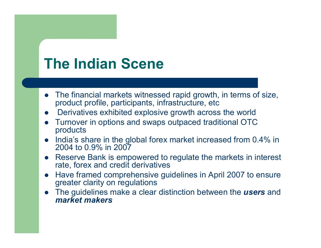#### **The Indian Scene**

- $\bullet$  The financial markets witnessed rapid growth, in terms of size, product profile, participants, infrastructure, etc
- $\bullet$ Derivatives exhibited explosive growth across the world
- $\bullet$  Turnover in options and swaps outpaced traditional OTC products
- $\bullet$  India's share in the global forex market increased from 0.4% in 2004 to 0.9% in 2007
- $\bullet$  Reserve Bank is empowered to regulate the markets in interest rate, forex and credit derivatives
- $\bullet$  Have framed comprehensive guidelines in April 2007 to ensure greater clarity on regulations
- $\bullet$  The guidelines make a clear distinction between the *users* and *market makers*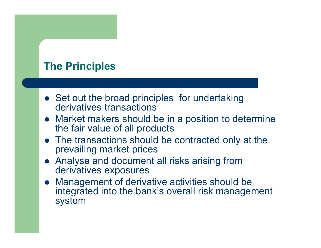#### **The Principles**

- Set out the broad principles for undertaking derivatives transactions
- Market makers should be in a position to determine the fair value of all products
- The transactions should be contracted only at the prevailing market prices
- Analyse and document all risks arising from derivatives exposures
- $\bullet$  Management of derivative activities should be integrated into the bank's overall risk management system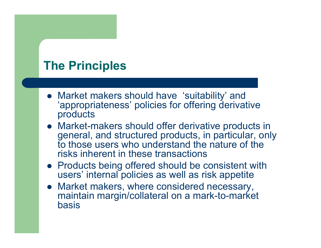#### **The Principles**

- Market makers should have 'suitability' and 'appropriateness' policies for offering derivative products
- Market-makers should offer derivative products in general, and structured products, in particular, only to those users who understand the nature of the risks inherent in these transactions
- Products being offered should be consistent with users' internal policies as well as risk appetite
- Market makers, where considered necessary, maintain margin/collateral on a mark-to-market basis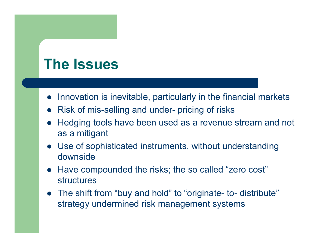# **The Issues**

- Innovation is inevitable, particularly in the financial markets
- Risk of mis-selling and under- pricing of risks
- $\bullet$  Hedging tools have been used as a revenue stream and not as a mitigant
- Use of sophisticated instruments, without understanding downside
- Have compounded the risks; the so called "zero cost" structures
- The shift from "buy and hold" to "originate- to- distribute" strategy undermined risk management systems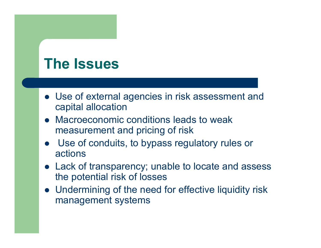# **The Issues**

- Use of external agencies in risk assessment and capital allocation
- Macroeconomic conditions leads to weak measurement and pricing of risk
- Use of conduits, to bypass regulatory rules or actions
- Lack of transparency; unable to locate and assess the potential risk of losses
- Undermining of the need for effective liquidity risk management systems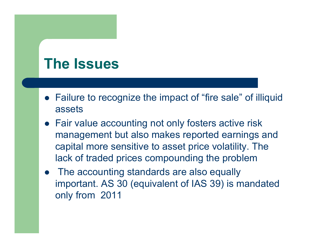## **The Issues**

- Failure to recognize the impact of "fire sale" of illiquid assets
- Fair value accounting not only fosters active risk management but also makes reported earnings and capital more sensitive to asset price volatility. The lack of traded prices compounding the problem
- The accounting standards are also equally important. AS 30 (equivalent of IAS 39) is mandated only from 2011